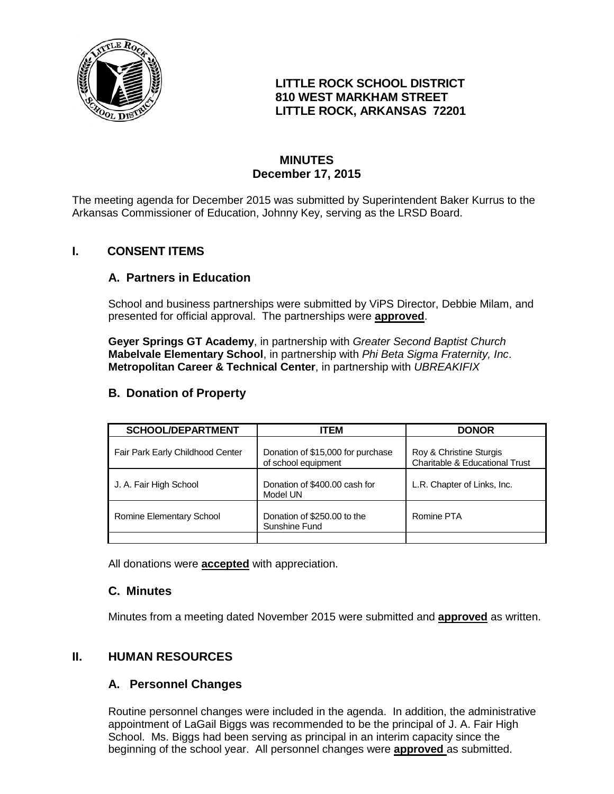

## **LITTLE ROCK SCHOOL DISTRICT 810 WEST MARKHAM STREET LITTLE ROCK, ARKANSAS 72201**

# **MINUTES December 17, 2015**

The meeting agenda for December 2015 was submitted by Superintendent Baker Kurrus to the Arkansas Commissioner of Education, Johnny Key, serving as the LRSD Board.

# **I. CONSENT ITEMS**

### **A. Partners in Education**

School and business partnerships were submitted by ViPS Director, Debbie Milam, and presented for official approval. The partnerships were **approved**.

**Geyer Springs GT Academy**, in partnership with *Greater Second Baptist Church* **Mabelvale Elementary School**, in partnership with *Phi Beta Sigma Fraternity, Inc*. **Metropolitan Career & Technical Center**, in partnership with *UBREAKIFIX*

## **B. Donation of Property**

| <b>SCHOOL/DEPARTMENT</b>         | <b>ITEM</b>                                              | <b>DONOR</b>                                                         |
|----------------------------------|----------------------------------------------------------|----------------------------------------------------------------------|
| Fair Park Early Childhood Center | Donation of \$15,000 for purchase<br>of school equipment | Roy & Christine Sturgis<br><b>Charitable &amp; Educational Trust</b> |
| J. A. Fair High School           | Donation of \$400.00 cash for<br>Model UN                | L.R. Chapter of Links, Inc.                                          |
| Romine Elementary School         | Donation of \$250.00 to the<br>Sunshine Fund             | Romine PTA                                                           |
|                                  |                                                          |                                                                      |

All donations were **accepted** with appreciation.

### **C. Minutes**

Minutes from a meeting dated November 2015 were submitted and **approved** as written.

### **II. HUMAN RESOURCES**

### **A. Personnel Changes**

Routine personnel changes were included in the agenda. In addition, the administrative appointment of LaGail Biggs was recommended to be the principal of J. A. Fair High School. Ms. Biggs had been serving as principal in an interim capacity since the beginning of the school year. All personnel changes were **approved** as submitted.